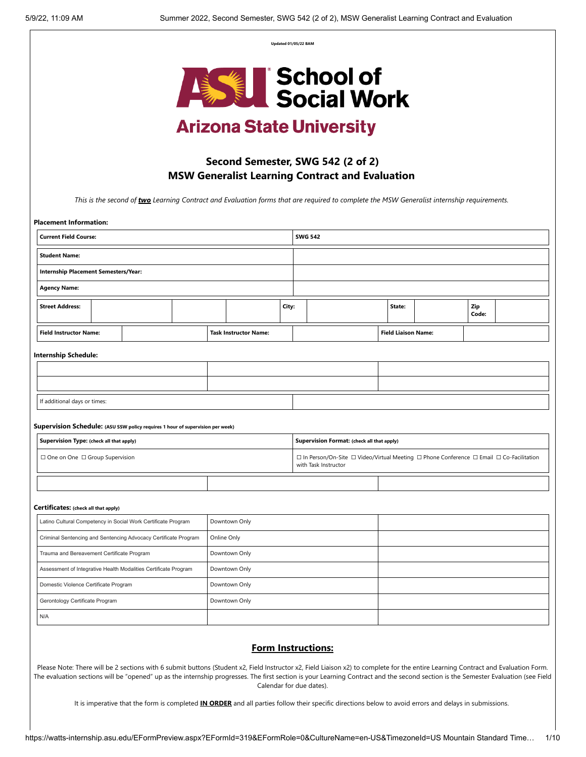**Updated 01/05/22 BAM**



# **Arizona State University**

## **Second Semester, SWG 542 (2 of 2) MSW Generalist Learning Contract and Evaluation**

*This is the second of two Learning Contract and Evaluation forms that are required to complete the MSW Generalist internship requirements.* 

| <b>Placement Information:</b>                                                    |               |                              |       |                                                                                                                                           |                                            |  |                            |  |              |  |
|----------------------------------------------------------------------------------|---------------|------------------------------|-------|-------------------------------------------------------------------------------------------------------------------------------------------|--------------------------------------------|--|----------------------------|--|--------------|--|
| <b>Current Field Course:</b>                                                     |               |                              |       |                                                                                                                                           | <b>SWG 542</b>                             |  |                            |  |              |  |
| <b>Student Name:</b>                                                             |               |                              |       |                                                                                                                                           |                                            |  |                            |  |              |  |
| Internship Placement Semesters/Year:                                             |               |                              |       |                                                                                                                                           |                                            |  |                            |  |              |  |
| <b>Agency Name:</b>                                                              |               |                              |       |                                                                                                                                           |                                            |  |                            |  |              |  |
| <b>Street Address:</b>                                                           |               |                              | City: |                                                                                                                                           |                                            |  | State:                     |  | Zip<br>Code: |  |
| <b>Field Instructor Name:</b>                                                    |               | <b>Task Instructor Name:</b> |       |                                                                                                                                           |                                            |  | <b>Field Liaison Name:</b> |  |              |  |
| <b>Internship Schedule:</b>                                                      |               |                              |       |                                                                                                                                           |                                            |  |                            |  |              |  |
|                                                                                  |               |                              |       |                                                                                                                                           |                                            |  |                            |  |              |  |
|                                                                                  |               |                              |       |                                                                                                                                           |                                            |  |                            |  |              |  |
| If additional days or times:                                                     |               |                              |       |                                                                                                                                           |                                            |  |                            |  |              |  |
|                                                                                  |               |                              |       |                                                                                                                                           |                                            |  |                            |  |              |  |
| Supervision Schedule: (ASU SSW policy requires 1 hour of supervision per week)   |               |                              |       |                                                                                                                                           |                                            |  |                            |  |              |  |
| Supervision Type: (check all that apply)                                         |               |                              |       |                                                                                                                                           | Supervision Format: (check all that apply) |  |                            |  |              |  |
| $\Box$ One on One $\Box$ Group Supervision                                       |               |                              |       | $\Box$ In Person/On-Site $\Box$ Video/Virtual Meeting $\Box$ Phone Conference $\Box$ Email $\Box$ Co-Facilitation<br>with Task Instructor |                                            |  |                            |  |              |  |
|                                                                                  |               |                              |       |                                                                                                                                           |                                            |  |                            |  |              |  |
| Certificates: (check all that apply)                                             |               |                              |       |                                                                                                                                           |                                            |  |                            |  |              |  |
| Latino Cultural Competency in Social Work Certificate Program                    |               | Downtown Only                |       |                                                                                                                                           |                                            |  |                            |  |              |  |
| Criminal Sentencing and Sentencing Advocacy Certificate Program                  |               | Online Only                  |       |                                                                                                                                           |                                            |  |                            |  |              |  |
| Trauma and Bereavement Certificate Program                                       |               | Downtown Only                |       |                                                                                                                                           |                                            |  |                            |  |              |  |
| Assessment of Integrative Health Modalities Certificate Program<br>Downtown Only |               |                              |       |                                                                                                                                           |                                            |  |                            |  |              |  |
| Domestic Violence Certificate Program                                            | Downtown Only |                              |       |                                                                                                                                           |                                            |  |                            |  |              |  |
| Gerontology Certificate Program                                                  | Downtown Only |                              |       |                                                                                                                                           |                                            |  |                            |  |              |  |
|                                                                                  |               |                              |       |                                                                                                                                           |                                            |  |                            |  |              |  |

## **Form Instructions:**

Please Note: There will be 2 sections with 6 submit buttons (Student x2, Field Instructor x2, Field Liaison x2) to complete for the entire Learning Contract and Evaluation Form. The evaluation sections will be "opened" up as the internship progresses. The first section is your Learning Contract and the second section is the Semester Evaluation (see Field Calendar for due dates).

It is imperative that the form is completed **IN ORDER** and all parties follow their specific directions below to avoid errors and delays in submissions.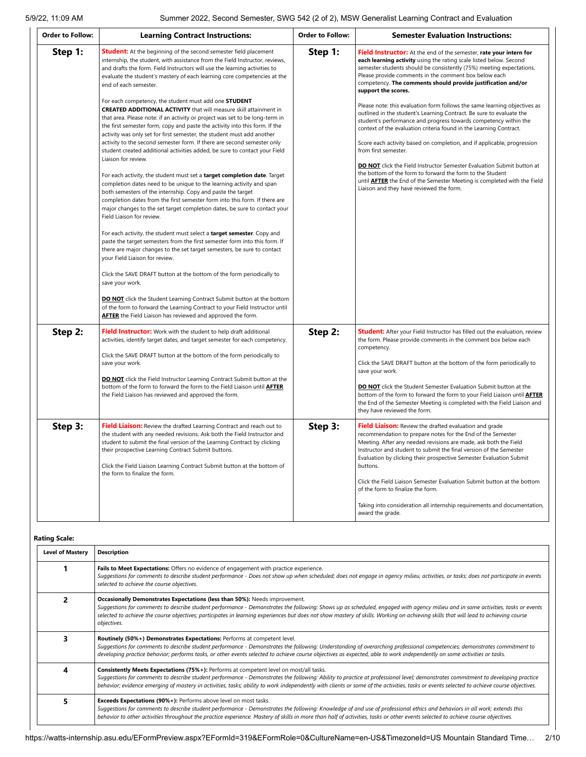| <b>Order to Follow:</b> | <b>Learning Contract Instructions:</b>                                                                                                                                                                                                                                                                                                                                                                                                                                                                                                                                                                                                                                                                                                                                                                                                                                                                                                                                                                                                                                                                                                                                                                                                                                                                                                                                                                                                                                                                                                                                                                                                                                                                                                                                                                                                                                                                                     | <b>Order to Follow:</b> | <b>Semester Evaluation Instructions:</b>                                                                                                                                                                                                                                                                                                                                                                                                                                                                                                                                                                                                                                                                                                                                                                                                                                                                                                                                                                                                |
|-------------------------|----------------------------------------------------------------------------------------------------------------------------------------------------------------------------------------------------------------------------------------------------------------------------------------------------------------------------------------------------------------------------------------------------------------------------------------------------------------------------------------------------------------------------------------------------------------------------------------------------------------------------------------------------------------------------------------------------------------------------------------------------------------------------------------------------------------------------------------------------------------------------------------------------------------------------------------------------------------------------------------------------------------------------------------------------------------------------------------------------------------------------------------------------------------------------------------------------------------------------------------------------------------------------------------------------------------------------------------------------------------------------------------------------------------------------------------------------------------------------------------------------------------------------------------------------------------------------------------------------------------------------------------------------------------------------------------------------------------------------------------------------------------------------------------------------------------------------------------------------------------------------------------------------------------------------|-------------------------|-----------------------------------------------------------------------------------------------------------------------------------------------------------------------------------------------------------------------------------------------------------------------------------------------------------------------------------------------------------------------------------------------------------------------------------------------------------------------------------------------------------------------------------------------------------------------------------------------------------------------------------------------------------------------------------------------------------------------------------------------------------------------------------------------------------------------------------------------------------------------------------------------------------------------------------------------------------------------------------------------------------------------------------------|
| Step 1:                 | <b>Student:</b> At the beginning of the second semester field placement<br>internship, the student, with assistance from the Field Instructor, reviews,<br>and drafts the form. Field Instructors will use the learning activities to<br>evaluate the student's mastery of each learning core competencies at the<br>end of each semester.<br>For each competency, the student must add one STUDENT<br><b>CREATED ADDITIONAL ACTIVITY</b> that will measure skill attainment in<br>that area. Please note: if an activity or project was set to be long-term in<br>the first semester form, copy and paste the activity into this form. If the<br>activity was only set for first semester, the student must add another<br>activity to the second semester form. If there are second semester only<br>student created additional activities added, be sure to contact your Field<br>Liaison for review.<br>For each activity, the student must set a target completion date. Target<br>completion dates need to be unique to the learning activity and span<br>both semesters of the internship. Copy and paste the target<br>completion dates from the first semester form into this form. If there are<br>major changes to the set target completion dates, be sure to contact your<br>Field Liaison for review.<br>For each activity, the student must select a target semester. Copy and<br>paste the target semesters from the first semester form into this form. If<br>there are major changes to the set target semesters, be sure to contact<br>your Field Liaison for review.<br>Click the SAVE DRAFT button at the bottom of the form periodically to<br>save your work.<br><b>DO NOT</b> click the Student Learning Contract Submit button at the bottom<br>of the form to forward the Learning Contract to your Field Instructor until<br><b>AFTER</b> the Field Liaison has reviewed and approved the form. | Step 1:                 | Field Instructor: At the end of the semester, rate your intern for<br>each learning activity using the rating scale listed below. Second<br>semester students should be consistently (75%) meeting expectations.<br>Please provide comments in the comment box below each<br>competency. The comments should provide justification and/or<br>support the scores.<br>Please note: this evaluation form follows the same learning objectives as<br>outlined in the student's Learning Contract. Be sure to evaluate the<br>student's performance and progress towards competency within the<br>context of the evaluation criteria found in the Learning Contract.<br>Score each activity based on completion, and if applicable, progression<br>from first semester.<br>DO NOT click the Field Instructor Semester Evaluation Submit button at<br>the bottom of the form to forward the form to the Student<br>until <b>AFTER</b> the End of the Semester Meeting is completed with the Field<br>Liaison and they have reviewed the form. |
| Step 2:                 | Field Instructor: Work with the student to help draft additional<br>activities, identify target dates, and target semester for each competency.<br>Click the SAVE DRAFT button at the bottom of the form periodically to<br>save your work.<br>DO NOT click the Field Instructor Learning Contract Submit button at the<br>bottom of the form to forward the form to the Field Liaison until AFTER<br>the Field Liaison has reviewed and approved the form.                                                                                                                                                                                                                                                                                                                                                                                                                                                                                                                                                                                                                                                                                                                                                                                                                                                                                                                                                                                                                                                                                                                                                                                                                                                                                                                                                                                                                                                                | Step 2:                 | <b>Student:</b> After your Field Instructor has filled out the evaluation, review<br>the form. Please provide comments in the comment box below each<br>competency.<br>Click the SAVE DRAFT button at the bottom of the form periodically to<br>save your work.<br><b>DO NOT</b> click the Student Semester Evaluation Submit button at the<br>bottom of the form to forward the form to your Field Liaison until <b>AFTER</b><br>the End of the Semester Meeting is completed with the Field Liaison and<br>they have reviewed the form.                                                                                                                                                                                                                                                                                                                                                                                                                                                                                               |
| Step 3:                 | Field Liaison: Review the drafted Learning Contract and reach out to<br>the student with any needed revisions. Ask both the Field Instructor and<br>student to submit the final version of the Learning Contract by clicking<br>their prospective Learning Contract Submit buttons.<br>Click the Field Liaison Learning Contract Submit button at the bottom of<br>the form to finalize the form.                                                                                                                                                                                                                                                                                                                                                                                                                                                                                                                                                                                                                                                                                                                                                                                                                                                                                                                                                                                                                                                                                                                                                                                                                                                                                                                                                                                                                                                                                                                          | Step 3:                 | Field Liaison: Review the drafted evaluation and grade<br>recommendation to prepare notes for the End of the Semester<br>Meeting. After any needed revisions are made, ask both the Field<br>Instructor and student to submit the final version of the Semester<br>Evaluation by clicking their prospective Semester Evaluation Submit<br>buttons.<br>Click the Field Liaison Semester Evaluation Submit button at the bottom<br>of the form to finalize the form.<br>Taking into consideration all internship requirements and documentation,<br>award the grade.                                                                                                                                                                                                                                                                                                                                                                                                                                                                      |

**Rating Scale:**

| <b>Level of Mastery</b> | <b>Description</b>                                                                                                                                                                                                                                                                                                                                                                                                                                                             |
|-------------------------|--------------------------------------------------------------------------------------------------------------------------------------------------------------------------------------------------------------------------------------------------------------------------------------------------------------------------------------------------------------------------------------------------------------------------------------------------------------------------------|
|                         | Fails to Meet Expectations: Offers no evidence of engagement with practice experience.<br>Suggestions for comments to describe student performance - Does not show up when scheduled; does not engage in agency milieu, activities, or tasks; does not participate in events<br>selected to achieve the course objectives.                                                                                                                                                     |
|                         | Occasionally Demonstrates Expectations (less than 50%): Needs improvement.<br>Suggestions for comments to describe student performance - Demonstrates the following: Shows up as scheduled, engaged with agency milieu and in some activities, tasks or events<br>selected to achieve the course objectives; participates in learning experiences but does not show mastery of skills. Working on achieving skills that will lead to achieving course<br>objectives.           |
|                         | Routinely (50%+) Demonstrates Expectations: Performs at competent level.<br>Suggestions for comments to describe student performance - Demonstrates the following: Understanding of overarching professional competencies; demonstrates commitment to<br>developing practice behavior; performs tasks, or other events selected to achieve course objectives as expected, able to work independently on some activities or tasks.                                              |
| 4                       | <b>Consistently Meets Expectations (75%+):</b> Performs at competent level on most/all tasks.<br>Suggestions for comments to describe student performance - Demonstrates the following: Ability to practice at professional level; demonstrates commitment to developing practice<br>behavior; evidence emerging of mastery in activities, tasks; ability to work independently with clients or some of the activities, tasks or events selected to achieve course objectives. |
| 5.                      | Exceeds Expectations (90%+): Performs above level on most tasks.<br>Suggestions for comments to describe student performance - Demonstrates the following: Knowledge of and use of professional ethics and behaviors in all work; extends this<br>behavior to other activities throughout the practice experience. Mastery of skills in more than half of activities, tasks or other events selected to achieve course objectives.                                             |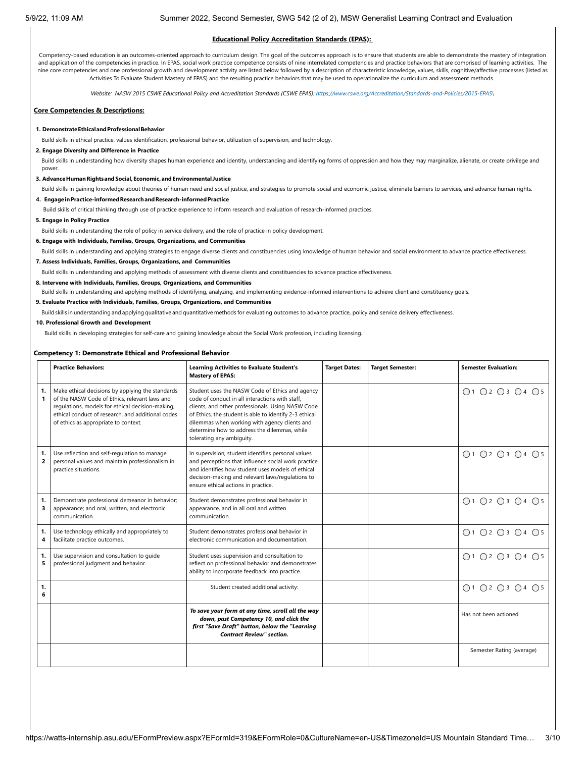#### **Educational Policy Accreditation Standards (EPAS):**

Competency-based education is an outcomes-oriented approach to curriculum design. The goal of the outcomes approach is to ensure that students are able to demonstrate the mastery of integration and application of the competencies in practice. In EPAS, social work practice competence consists of nine interrelated competencies and practice behaviors that are comprised of learning activities. The nine core competencies and one professional growth and development activity are listed below followed by a description of characteristic knowledge, values, skills, cognitive/affective processes (listed as Activities To Evaluate Student Mastery of EPAS) and the resulting practice behaviors that may be used to operationalize the curriculum and assessment methods*.*

*Website: NASW 2015 CSWE Educational Policy and Accreditation Standards (CSWE EPAS): [https://www.cswe.org/Accreditation/Standards-and-Policies/2015-EPAS\](https://www.cswe.org/Accreditation/Standards-and-Policies/2015-EPAS/)*

## **Core Competencies & Descriptions:**

#### **1. DemonstrateEthicalandProfessionalBehavior**

Build skills in ethical practice, values identification, professional behavior, utilization of supervision, and technology.

## **2. Engage Diversity and Difference in Practice**

Build skills in understanding how diversity shapes human experience and identity, understanding and identifying forms of oppression and how they may marginalize, alienate, or create privilege and power

#### **3. AdvanceHumanRightsandSocial,Economic,andEnvironmental Justice**

Build skills in gaining knowledge about theories of human need and social justice, and strategies to promote social and economic justice, eliminate barriers to services, and advance human rights.

## **4. EngageinPractice-informedResearchandResearch-informedPractice**

Build skills of critical thinking through use of practice experience to inform research and evaluation of research-informed practices.

**5. Engage in Policy Practice**

Build skills in understanding the role of policy in service delivery, and the role of practice in policy development.

#### **6. Engage with Individuals, Families, Groups, Organizations, and Communities**

Build skills in understanding and applying strategies to engage diverse clients and constituencies using knowledge of human behavior and social environment to advance practice effectiveness.

## **7. Assess Individuals, Families, Groups, Organizations, and Communities**

Build skills in understanding and applying methods of assessment with diverse clients and constituencies to advance practice effectiveness.

## **8. Intervene with Individuals, Families, Groups, Organizations, and Communities**

Build skills in understanding and applying methods of identifying, analyzing, and implementing evidence-informed interventions to achieve client and constituency goals.

#### **9. Evaluate Practice with Individuals, Families, Groups, Organizations, and Communities**

Build skills in understanding and applying qualitative and quantitative methods for evaluating outcomes to advance practice, policy and service delivery effectiveness.

#### **10. Professional Growth and Development**

Build skills in developing strategies for self-care and gaining knowledge about the Social Work profession, including licensing.

## **Competency 1: Demonstrate Ethical and Professional Behavior**

|         | <b>Practice Behaviors:</b>                                                                                                                                                                                                                         | <b>Learning Activities to Evaluate Student's</b><br><b>Mastery of EPAS:</b>                                                                                                                                                                                                                                                                     | <b>Target Dates:</b> | <b>Target Semester:</b> | <b>Semester Evaluation:</b>                                 |
|---------|----------------------------------------------------------------------------------------------------------------------------------------------------------------------------------------------------------------------------------------------------|-------------------------------------------------------------------------------------------------------------------------------------------------------------------------------------------------------------------------------------------------------------------------------------------------------------------------------------------------|----------------------|-------------------------|-------------------------------------------------------------|
| 1.<br>1 | Make ethical decisions by applying the standards<br>of the NASW Code of Ethics, relevant laws and<br>regulations, models for ethical decision-making,<br>ethical conduct of research, and additional codes<br>of ethics as appropriate to context. | Student uses the NASW Code of Ethics and agency<br>code of conduct in all interactions with staff.<br>clients, and other professionals. Using NASW Code<br>of Ethics, the student is able to identify 2-3 ethical<br>dilemmas when working with agency clients and<br>determine how to address the dilemmas, while<br>tolerating any ambiguity. |                      |                         | $\bigcap$ 1 $\bigcap$ 2 $\bigcap$ 3 $\bigcap$ 4 $\bigcap$ 5 |
| 1.<br>2 | Use reflection and self-regulation to manage<br>personal values and maintain professionalism in<br>practice situations.                                                                                                                            | In supervision, student identifies personal values<br>and perceptions that influence social work practice<br>and identifies how student uses models of ethical<br>decision-making and relevant laws/regulations to<br>ensure ethical actions in practice.                                                                                       |                      |                         | ○1 ○2 ○3 ○4 ○5                                              |
| 1.<br>3 | Demonstrate professional demeanor in behavior;<br>appearance; and oral, written, and electronic<br>communication.                                                                                                                                  | Student demonstrates professional behavior in<br>appearance, and in all oral and written<br>communication.                                                                                                                                                                                                                                      |                      |                         | ○1 ○2 ○3 ○4 ○5                                              |
| 1.<br>4 | Use technology ethically and appropriately to<br>facilitate practice outcomes.                                                                                                                                                                     | Student demonstrates professional behavior in<br>electronic communication and documentation.                                                                                                                                                                                                                                                    |                      |                         | ○1 ○2 ○3 ○4 ○5                                              |
| 1.<br>5 | Use supervision and consultation to quide<br>professional judgment and behavior.                                                                                                                                                                   | Student uses supervision and consultation to<br>reflect on professional behavior and demonstrates<br>ability to incorporate feedback into practice.                                                                                                                                                                                             |                      |                         | $\bigcap$ 1 $\bigcap$ 2 $\bigcap$ 3 $\bigcap$ 4 $\bigcap$ 5 |
| 1.<br>6 |                                                                                                                                                                                                                                                    | Student created additional activity:                                                                                                                                                                                                                                                                                                            |                      |                         | ○1 ○2 ○3 ○4 ○5                                              |
|         |                                                                                                                                                                                                                                                    | To save your form at any time, scroll all the way<br>down, past Competency 10, and click the<br>first "Save Draft" button, below the "Learning<br><b>Contract Review" section.</b>                                                                                                                                                              |                      |                         | Has not been actioned                                       |
|         |                                                                                                                                                                                                                                                    |                                                                                                                                                                                                                                                                                                                                                 |                      |                         | Semester Rating (average)                                   |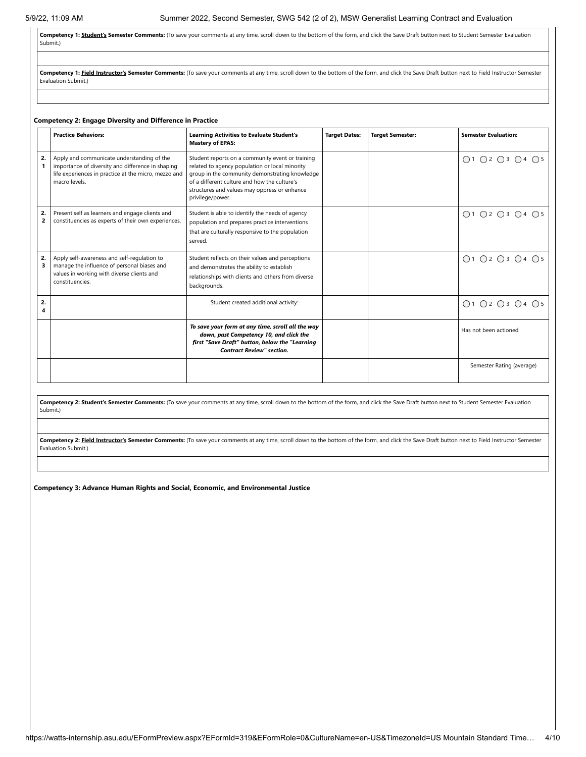Competency 1: **Student's Semester Comments:** (To save your comments at any time, scroll down to the bottom of the form, and click the Save Draft button next to Student Semester Evaluation Submit.)

Competency 1: Field Instructor's Semester Comments: (To save your comments at any time, scroll down to the bottom of the form, and click the Save Draft button next to Field Instructor Semester Evaluation Submit.)

## **Competency 2: Engage Diversity and Difference in Practice**

|                      | <b>Practice Behaviors:</b>                                                                                                                                               | <b>Learning Activities to Evaluate Student's</b><br><b>Mastery of EPAS:</b>                                                                                                                                                                                              | <b>Target Dates:</b> | <b>Target Semester:</b> | <b>Semester Evaluation:</b> |
|----------------------|--------------------------------------------------------------------------------------------------------------------------------------------------------------------------|--------------------------------------------------------------------------------------------------------------------------------------------------------------------------------------------------------------------------------------------------------------------------|----------------------|-------------------------|-----------------------------|
| 2.                   | Apply and communicate understanding of the<br>importance of diversity and difference in shaping<br>life experiences in practice at the micro, mezzo and<br>macro levels. | Student reports on a community event or training<br>related to agency population or local minority<br>group in the community demonstrating knowledge<br>of a different culture and how the culture's<br>structures and values may oppress or enhance<br>privilege/power. |                      |                         | ○1 ○2 ○3 ○4 ○5              |
| 2.<br>$\overline{2}$ | Present self as learners and engage clients and<br>constituencies as experts of their own experiences.                                                                   | Student is able to identify the needs of agency<br>population and prepares practice interventions<br>that are culturally responsive to the population<br>served.                                                                                                         |                      |                         | ○1 ○2 ○3 ○4 ○5              |
| 2.                   | Apply self-awareness and self-regulation to<br>manage the influence of personal biases and<br>values in working with diverse clients and<br>constituencies.              | Student reflects on their values and perceptions<br>and demonstrates the ability to establish<br>relationships with clients and others from diverse<br>backgrounds.                                                                                                      |                      |                         | ○1 ○2 ○3 ○4 ○5              |
| 2.                   |                                                                                                                                                                          | Student created additional activity:                                                                                                                                                                                                                                     |                      |                         | ○1 ○2 ○3 ○4 ○5              |
|                      |                                                                                                                                                                          | To save your form at any time, scroll all the way<br>down, past Competency 10, and click the<br>first "Save Draft" button, below the "Learning<br><b>Contract Review" section.</b>                                                                                       |                      |                         | Has not been actioned       |
|                      |                                                                                                                                                                          |                                                                                                                                                                                                                                                                          |                      |                         | Semester Rating (average)   |

Competency 2: **Student's Semester Comments:** (To save your comments at any time, scroll down to the bottom of the form, and click the Save Draft button next to Student Semester Evaluation Submit.)

Competency 2: Field Instructor's Semester Comments: (To save your comments at any time, scroll down to the bottom of the form, and click the Save Draft button next to Field Instructor Semester Evaluation Submit.)

**Competency 3: Advance Human Rights and Social, Economic, and Environmental Justice**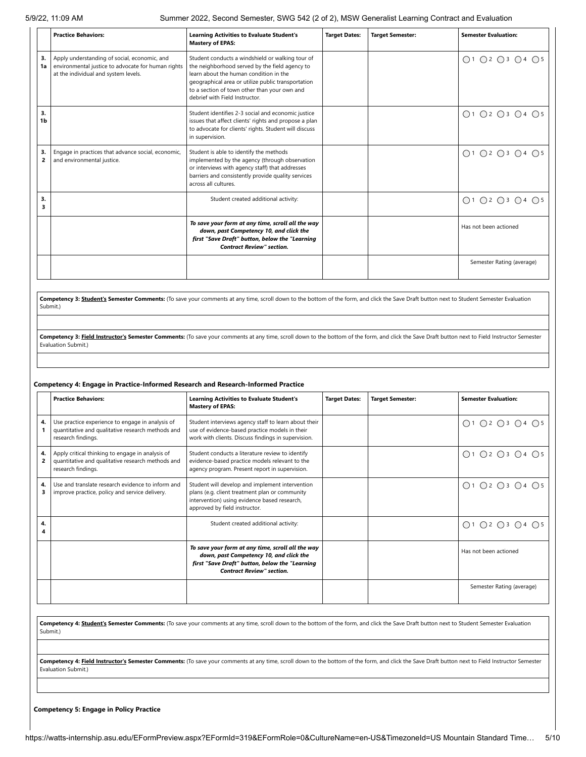|          | <b>Practice Behaviors:</b>                                                                                                                 | <b>Learning Activities to Evaluate Student's</b><br><b>Mastery of EPAS:</b>                                                                                                                                                                                                          | <b>Target Dates:</b> | <b>Target Semester:</b> | <b>Semester Evaluation:</b> |
|----------|--------------------------------------------------------------------------------------------------------------------------------------------|--------------------------------------------------------------------------------------------------------------------------------------------------------------------------------------------------------------------------------------------------------------------------------------|----------------------|-------------------------|-----------------------------|
| 3.<br>1a | Apply understanding of social, economic, and<br>environmental justice to advocate for human rights<br>at the individual and system levels. | Student conducts a windshield or walking tour of<br>the neighborhood served by the field agency to<br>learn about the human condition in the<br>geographical area or utilize public transportation<br>to a section of town other than your own and<br>debrief with Field Instructor. |                      |                         | O1 O2 O3 O4 O5              |
| 3.<br>1b |                                                                                                                                            | Student identifies 2-3 social and economic justice<br>issues that affect clients' rights and propose a plan<br>to advocate for clients' rights. Student will discuss<br>in supervision.                                                                                              |                      |                         | O1 O2 O3 O4 O5              |
| 3.<br>2  | Engage in practices that advance social, economic,<br>and environmental justice.                                                           | Student is able to identify the methods<br>implemented by the agency (through observation<br>or interviews with agency staff) that addresses<br>barriers and consistently provide quality services<br>across all cultures.                                                           |                      |                         | ○1 ○2 ○3 ○4 ○5              |
| 3.<br>3  |                                                                                                                                            | Student created additional activity:                                                                                                                                                                                                                                                 |                      |                         | ○1 ○2 ○3 ○4 ○5              |
|          |                                                                                                                                            | To save your form at any time, scroll all the way<br>down, past Competency 10, and click the<br>first "Save Draft" button, below the "Learning<br><b>Contract Review" section.</b>                                                                                                   |                      |                         | Has not been actioned       |
|          |                                                                                                                                            |                                                                                                                                                                                                                                                                                      |                      |                         | Semester Rating (average)   |

**Competency 3: Student's Semester Comments:** (To save your comments at any time, scroll down to the bottom of the form, and click the Save Draft button next to Student Semester Evaluation Submit.)

Competency 3: Field Instructor's Semester Comments: (To save your comments at any time, scroll down to the bottom of the form, and click the Save Draft button next to Field Instructor Semester Evaluation Submit.)

## **Competency 4: Engage in Practice-Informed Research and Research-Informed Practice**

|         | <b>Practice Behaviors:</b>                                                                                                  | <b>Learning Activities to Evaluate Student's</b><br><b>Mastery of EPAS:</b>                                                                                                        | <b>Target Dates:</b> | <b>Target Semester:</b> | <b>Semester Evaluation:</b>                                 |
|---------|-----------------------------------------------------------------------------------------------------------------------------|------------------------------------------------------------------------------------------------------------------------------------------------------------------------------------|----------------------|-------------------------|-------------------------------------------------------------|
| 4.      | Use practice experience to engage in analysis of<br>quantitative and qualitative research methods and<br>research findings. | Student interviews agency staff to learn about their<br>use of evidence-based practice models in their<br>work with clients. Discuss findings in supervision.                      |                      |                         | O1 O2 O3 O4 O5                                              |
| 4.<br>2 | Apply critical thinking to engage in analysis of<br>quantitative and qualitative research methods and<br>research findings. | Student conducts a literature review to identify<br>evidence-based practice models relevant to the<br>agency program. Present report in supervision.                               |                      |                         | 0102030405                                                  |
| 4.<br>3 | Use and translate research evidence to inform and<br>improve practice, policy and service delivery.                         | Student will develop and implement intervention<br>plans (e.g. client treatment plan or community<br>intervention) using evidence based research,<br>approved by field instructor. |                      |                         | O1 O2 O3 O4 O5                                              |
| 4.      |                                                                                                                             | Student created additional activity:                                                                                                                                               |                      |                         | $\bigcap$ 1 $\bigcap$ 2 $\bigcap$ 3 $\bigcap$ 4 $\bigcap$ 5 |
|         |                                                                                                                             | To save your form at any time, scroll all the way<br>down, past Competency 10, and click the<br>first "Save Draft" button, below the "Learning<br><b>Contract Review" section.</b> |                      |                         | Has not been actioned                                       |
|         |                                                                                                                             |                                                                                                                                                                                    |                      |                         | Semester Rating (average)                                   |

Competency 4: Student's Semester Comments: (To save your comments at any time, scroll down to the bottom of the form, and click the Save Draft button next to Student Semester Evaluation Submit.)

Competency 4: Field Instructor's Semester Comments: (To save your comments at any time, scroll down to the bottom of the form, and click the Save Draft button next to Field Instructor Semester Evaluation Submit.)

**Competency 5: Engage in Policy Practice**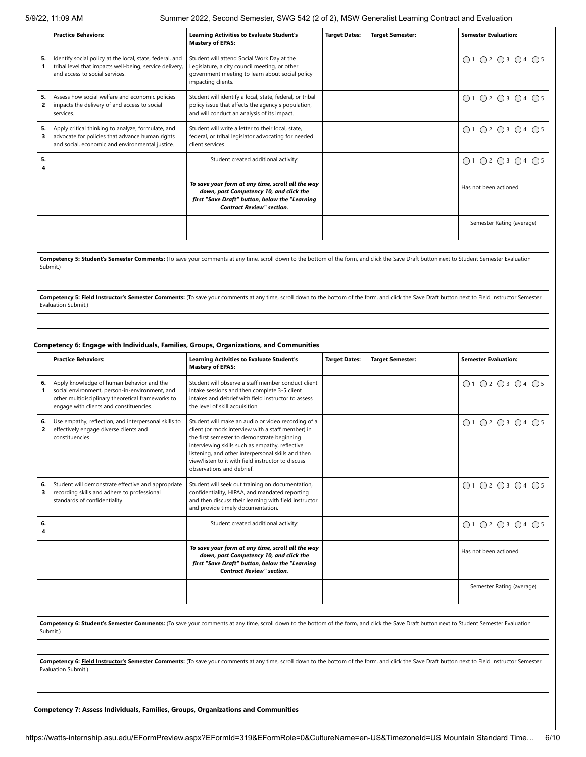|         | <b>Practice Behaviors:</b>                                                                                                                               | <b>Learning Activities to Evaluate Student's</b><br><b>Mastery of EPAS:</b>                                                                                                        | <b>Target Dates:</b> | <b>Target Semester:</b> | <b>Semester Evaluation:</b> |
|---------|----------------------------------------------------------------------------------------------------------------------------------------------------------|------------------------------------------------------------------------------------------------------------------------------------------------------------------------------------|----------------------|-------------------------|-----------------------------|
| 5.      | Identify social policy at the local, state, federal, and<br>tribal level that impacts well-being, service delivery,<br>and access to social services.    | Student will attend Social Work Day at the<br>Legislature, a city council meeting, or other<br>government meeting to learn about social policy<br>impacting clients.               |                      |                         | ○1 ○2 ○3 ○4 ○5              |
| 5.<br>2 | Assess how social welfare and economic policies<br>impacts the delivery of and access to social<br>services.                                             | Student will identify a local, state, federal, or tribal<br>policy issue that affects the agency's population,<br>and will conduct an analysis of its impact.                      |                      |                         | ○1 ○2 ○3 ○4 ○5              |
| 5.      | Apply critical thinking to analyze, formulate, and<br>advocate for policies that advance human rights<br>and social, economic and environmental justice. | Student will write a letter to their local, state,<br>federal, or tribal legislator advocating for needed<br>client services.                                                      |                      |                         | ○1 ○2 ○3 ○4 ○5              |
| 5.      |                                                                                                                                                          | Student created additional activity:                                                                                                                                               |                      |                         | ○1 ○2 ○3 ○4 ○5              |
|         |                                                                                                                                                          | To save your form at any time, scroll all the way<br>down, past Competency 10, and click the<br>first "Save Draft" button, below the "Learning<br><b>Contract Review" section.</b> |                      |                         | Has not been actioned       |
|         |                                                                                                                                                          |                                                                                                                                                                                    |                      |                         | Semester Rating (average)   |

Competency 5: Student's Semester Comments: (To save your comments at any time, scroll down to the bottom of the form, and click the Save Draft button next to Student Semester Evaluation Submit.)

Competency 5: Field Instructor's Semester Comments: (To save your comments at any time, scroll down to the bottom of the form, and click the Save Draft button next to Field Instructor Semester Evaluation Submit.)

## **Competency 6: Engage with Individuals, Families, Groups, Organizations, and Communities**

|         | <b>Practice Behaviors:</b>                                                                                                                                                                  | <b>Learning Activities to Evaluate Student's</b><br><b>Mastery of EPAS:</b>                                                                                                                                                                                                                                                                        | <b>Target Dates:</b> | <b>Target Semester:</b> | <b>Semester Evaluation:</b> |
|---------|---------------------------------------------------------------------------------------------------------------------------------------------------------------------------------------------|----------------------------------------------------------------------------------------------------------------------------------------------------------------------------------------------------------------------------------------------------------------------------------------------------------------------------------------------------|----------------------|-------------------------|-----------------------------|
| 6.      | Apply knowledge of human behavior and the<br>social environment, person-in-environment, and<br>other multidisciplinary theoretical frameworks to<br>engage with clients and constituencies. | Student will observe a staff member conduct client<br>intake sessions and then complete 3-5 client<br>intakes and debrief with field instructor to assess<br>the level of skill acquisition.                                                                                                                                                       |                      |                         | ○1 ○2 ○3 ○4 ○5              |
| 6.<br>2 | Use empathy, reflection, and interpersonal skills to<br>effectively engage diverse clients and<br>constituencies.                                                                           | Student will make an audio or video recording of a<br>client (or mock interview with a staff member) in<br>the first semester to demonstrate beginning<br>interviewing skills such as empathy, reflective<br>listening, and other interpersonal skills and then<br>view/listen to it with field instructor to discuss<br>observations and debrief. |                      |                         | ○1 ○2 ○3 ○4 ○5              |
| 6.<br>3 | Student will demonstrate effective and appropriate<br>recording skills and adhere to professional<br>standards of confidentiality.                                                          | Student will seek out training on documentation,<br>confidentiality, HIPAA, and mandated reporting<br>and then discuss their learning with field instructor<br>and provide timely documentation.                                                                                                                                                   |                      |                         | ○1 ○2 ○3 ○4 ○5              |
| 6.      |                                                                                                                                                                                             | Student created additional activity:                                                                                                                                                                                                                                                                                                               |                      |                         | ○1 ○2 ○3 ○4 ○5              |
|         |                                                                                                                                                                                             | To save your form at any time, scroll all the way<br>down, past Competency 10, and click the<br>first "Save Draft" button, below the "Learning<br><b>Contract Review" section.</b>                                                                                                                                                                 |                      |                         | Has not been actioned       |
|         |                                                                                                                                                                                             |                                                                                                                                                                                                                                                                                                                                                    |                      |                         | Semester Rating (average)   |

Competency 6: Student's Semester Comments: (To save your comments at any time, scroll down to the bottom of the form, and click the Save Draft button next to Student Semester Evaluation Submit.)

Competency 6: Field Instructor's Semester Comments: (To save your comments at any time, scroll down to the bottom of the form, and click the Save Draft button next to Field Instructor Semester Evaluation Submit.)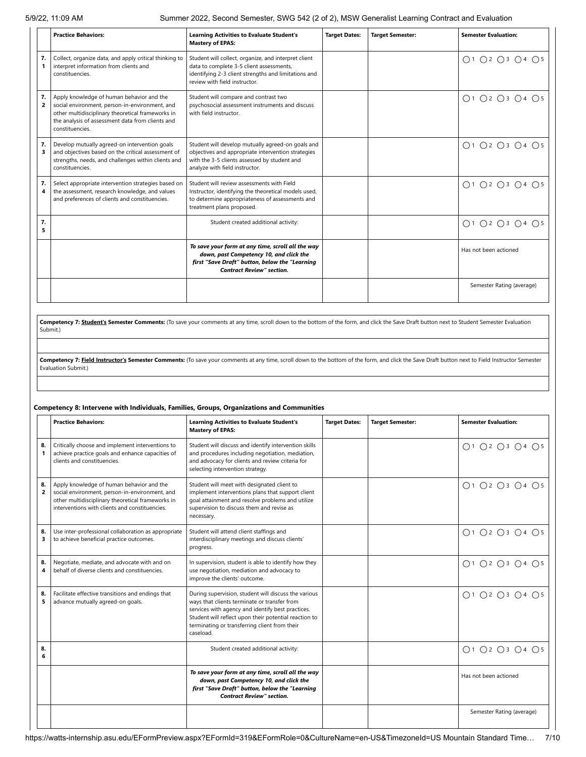|                      | <b>Practice Behaviors:</b>                                                                                                                                                                                              | <b>Learning Activities to Evaluate Student's</b><br><b>Mastery of EPAS:</b>                                                                                                               | <b>Target Dates:</b> | <b>Target Semester:</b> | <b>Semester Evaluation:</b> |
|----------------------|-------------------------------------------------------------------------------------------------------------------------------------------------------------------------------------------------------------------------|-------------------------------------------------------------------------------------------------------------------------------------------------------------------------------------------|----------------------|-------------------------|-----------------------------|
| 7.                   | Collect, organize data, and apply critical thinking to<br>interpret information from clients and<br>constituencies.                                                                                                     | Student will collect, organize, and interpret client<br>data to complete 3-5 client assessments,<br>identifying 2-3 client strengths and limitations and<br>review with field instructor. |                      |                         | ○1 ○2 ○3 ○4 ○5              |
| 7.<br>$\overline{2}$ | Apply knowledge of human behavior and the<br>social environment, person-in-environment, and<br>other multidisciplinary theoretical frameworks in<br>the analysis of assessment data from clients and<br>constituencies. | Student will compare and contrast two<br>psychosocial assessment instruments and discuss<br>with field instructor.                                                                        |                      |                         | ○1 ○2 ○3 ○4 ○5              |
| 7.<br>3              | Develop mutually agreed-on intervention goals<br>and objectives based on the critical assessment of<br>strengths, needs, and challenges within clients and<br>constituencies.                                           | Student will develop mutually agreed-on goals and<br>objectives and appropriate intervention strategies<br>with the 3-5 clients assessed by student and<br>analyze with field instructor. |                      |                         | ○1 ○2 ○3 ○4 ○5              |
| 7.<br>4              | Select appropriate intervention strategies based on<br>the assessment, research knowledge, and values<br>and preferences of clients and constituencies.                                                                 | Student will review assessments with Field<br>Instructor, identifying the theoretical models used,<br>to determine appropriateness of assessments and<br>treatment plans proposed.        |                      |                         | ○1 ○2 ○3 ○4 ○5              |
| 7.<br>5              |                                                                                                                                                                                                                         | Student created additional activity:                                                                                                                                                      |                      |                         | ○1 ○2 ○3 ○4 ○5              |
|                      |                                                                                                                                                                                                                         | To save your form at any time, scroll all the way<br>down, past Competency 10, and click the<br>first "Save Draft" button, below the "Learning<br><b>Contract Review" section.</b>        |                      |                         | Has not been actioned       |
|                      |                                                                                                                                                                                                                         |                                                                                                                                                                                           |                      |                         | Semester Rating (average)   |

Competency 7: **Student's Semester Comments:** (To save your comments at any time, scroll down to the bottom of the form, and click the Save Draft button next to Student Semester Evaluation Submit.)

**Competency 7: Field Instructor's Semester Comments:** (To save your comments at any time, scroll down to the bottom of the form, and click the Save Draft button next to Field Instructor Semester Evaluation Submit.)

## **Competency 8: Intervene with Individuals, Families, Groups, Organizations and Communities**

|                      | <b>Practice Behaviors:</b>                                                                                                                                                                         | <b>Learning Activities to Evaluate Student's</b><br><b>Mastery of EPAS:</b>                                                                                                                                                                                                      | <b>Target Dates:</b> | <b>Target Semester:</b> | <b>Semester Evaluation:</b> |
|----------------------|----------------------------------------------------------------------------------------------------------------------------------------------------------------------------------------------------|----------------------------------------------------------------------------------------------------------------------------------------------------------------------------------------------------------------------------------------------------------------------------------|----------------------|-------------------------|-----------------------------|
| 8.<br>1              | Critically choose and implement interventions to<br>achieve practice goals and enhance capacities of<br>clients and constituencies.                                                                | Student will discuss and identify intervention skills<br>and procedures including negotiation, mediation,<br>and advocacy for clients and review criteria for<br>selecting intervention strategy.                                                                                |                      |                         | ○1 ○2 ○3 ○4 ○5              |
| 8.<br>$\overline{2}$ | Apply knowledge of human behavior and the<br>social environment, person-in-environment, and<br>other multidisciplinary theoretical frameworks in<br>interventions with clients and constituencies. | Student will meet with designated client to<br>implement interventions plans that support client<br>goal attainment and resolve problems and utilize<br>supervision to discuss them and revise as<br>necessary.                                                                  |                      |                         | ○1 ○2 ○3 ○4 ○5              |
| 8.<br>3              | Use inter-professional collaboration as appropriate<br>to achieve beneficial practice outcomes.                                                                                                    | Student will attend client staffings and<br>interdisciplinary meetings and discuss clients'<br>progress.                                                                                                                                                                         |                      |                         | ○1 ○2 ○3 ○4 ○5              |
| 8.<br>4              | Negotiate, mediate, and advocate with and on<br>behalf of diverse clients and constituencies.                                                                                                      | In supervision, student is able to identify how they<br>use negotiation, mediation and advocacy to<br>improve the clients' outcome.                                                                                                                                              |                      |                         | ○1 ○2 ○3 ○4 ○5              |
| 8.<br>5              | Facilitate effective transitions and endings that<br>advance mutually agreed-on goals.                                                                                                             | During supervision, student will discuss the various<br>ways that clients terminate or transfer from<br>services with agency and identify best practices.<br>Student will reflect upon their potential reaction to<br>terminating or transferring client from their<br>caseload. |                      |                         | ○1 ○2 ○3 ○4 ○5              |
| 8.<br>6              |                                                                                                                                                                                                    | Student created additional activity:                                                                                                                                                                                                                                             |                      |                         | ○1 ○2 ○3 ○4 ○5              |
|                      |                                                                                                                                                                                                    | To save your form at any time, scroll all the way<br>down, past Competency 10, and click the<br>first "Save Draft" button, below the "Learning<br><b>Contract Review" section.</b>                                                                                               |                      |                         | Has not been actioned       |
|                      |                                                                                                                                                                                                    |                                                                                                                                                                                                                                                                                  |                      |                         | Semester Rating (average)   |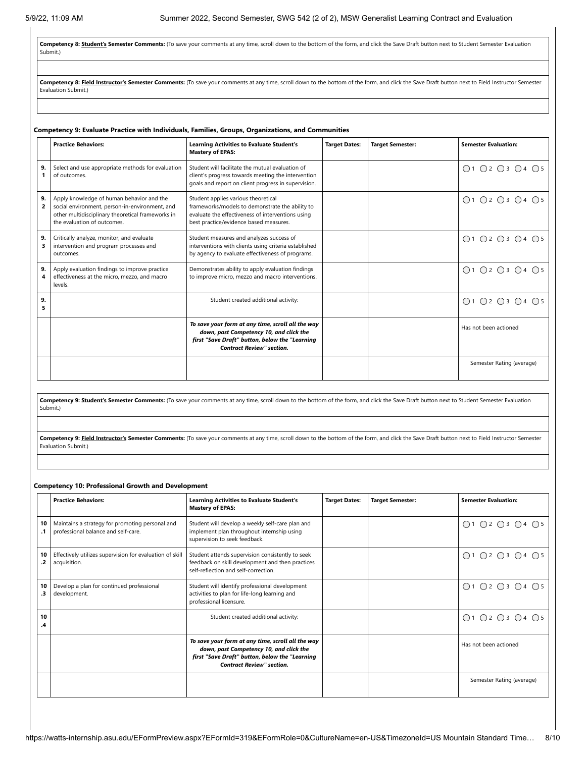**Competency 8: Student's Semester Comments:** (To save your comments at any time, scroll down to the bottom of the form, and click the Save Draft button next to Student Semester Evaluation Submit.)

Competency 8: Field Instructor's Semester Comments: (To save your comments at any time, scroll down to the bottom of the form, and click the Save Draft button next to Field Instructor Semester Evaluation Submit.)

## **Competency 9: Evaluate Practice with Individuals, Families, Groups, Organizations, and Communities**

|                      | <b>Practice Behaviors:</b>                                                                                                                                                      | <b>Learning Activities to Evaluate Student's</b><br><b>Mastery of EPAS:</b>                                                                                                           | <b>Target Dates:</b> | <b>Target Semester:</b> | <b>Semester Evaluation:</b> |
|----------------------|---------------------------------------------------------------------------------------------------------------------------------------------------------------------------------|---------------------------------------------------------------------------------------------------------------------------------------------------------------------------------------|----------------------|-------------------------|-----------------------------|
| 9.                   | Select and use appropriate methods for evaluation<br>of outcomes.                                                                                                               | Student will facilitate the mutual evaluation of<br>client's progress towards meeting the intervention<br>goals and report on client progress in supervision.                         |                      |                         | ○1 ○2 ○3 ○4 ○5              |
| 9.<br>$\overline{2}$ | Apply knowledge of human behavior and the<br>social environment, person-in-environment, and<br>other multidisciplinary theoretical frameworks in<br>the evaluation of outcomes. | Student applies various theoretical<br>frameworks/models to demonstrate the ability to<br>evaluate the effectiveness of interventions using<br>best practice/evidence based measures. |                      |                         | ○1 ○2 ○3 ○4 ○5              |
| 9.                   | Critically analyze, monitor, and evaluate<br>intervention and program processes and<br>outcomes.                                                                                | Student measures and analyzes success of<br>interventions with clients using criteria established<br>by agency to evaluate effectiveness of programs.                                 |                      |                         | ○1 ○2 ○3 ○4 ○5              |
| 9.<br>4              | Apply evaluation findings to improve practice<br>effectiveness at the micro, mezzo, and macro<br>levels.                                                                        | Demonstrates ability to apply evaluation findings<br>to improve micro, mezzo and macro interventions.                                                                                 |                      |                         | ○1 ○2 ○3 ○4 ○5              |
| 9.<br>5              |                                                                                                                                                                                 | Student created additional activity:                                                                                                                                                  |                      |                         | ○1 ○2 ○3 ○4 ○5              |
|                      |                                                                                                                                                                                 | To save your form at any time, scroll all the way<br>down, past Competency 10, and click the<br>first "Save Draft" button, below the "Learning<br><b>Contract Review" section.</b>    |                      |                         | Has not been actioned       |
|                      |                                                                                                                                                                                 |                                                                                                                                                                                       |                      |                         | Semester Rating (average)   |

**Competency 9: Student's Semester Comments:** (To save your comments at any time, scroll down to the bottom of the form, and click the Save Draft button next to Student Semester Evaluation Submit.)

Competency 9: Field Instructor's Semester Comments: (To save your comments at any time, scroll down to the bottom of the form, and click the Save Draft button next to Field Instructor Semester Evaluation Submit.)

## **Competency 10: Professional Growth and Development**

|          | <b>Practice Behaviors:</b>                                                             | <b>Learning Activities to Evaluate Student's</b><br><b>Mastery of EPAS:</b>                                                                                                        | <b>Target Dates:</b> | <b>Target Semester:</b> | <b>Semester Evaluation:</b> |
|----------|----------------------------------------------------------------------------------------|------------------------------------------------------------------------------------------------------------------------------------------------------------------------------------|----------------------|-------------------------|-----------------------------|
| 10       | Maintains a strategy for promoting personal and<br>professional balance and self-care. | Student will develop a weekly self-care plan and<br>implement plan throughout internship using<br>supervision to seek feedback.                                                    |                      |                         | ○1 ○2 ○3 ○4 ○5              |
| 10<br>.2 | Effectively utilizes supervision for evaluation of skill<br>acquisition.               | Student attends supervision consistently to seek<br>feedback on skill development and then practices<br>self-reflection and self-correction.                                       |                      |                         | ○1 ○2 ○3 ○4 ○5              |
| 10<br>.3 | Develop a plan for continued professional<br>development.                              | Student will identify professional development<br>activities to plan for life-long learning and<br>professional licensure.                                                         |                      |                         | ○1 ○2 ○3 ○4 ○5              |
| 10<br>.4 |                                                                                        | Student created additional activity:                                                                                                                                               |                      |                         | ○1 ○2 ○3 ○4 ○5              |
|          |                                                                                        | To save your form at any time, scroll all the way<br>down, past Competency 10, and click the<br>first "Save Draft" button, below the "Learning<br><b>Contract Review" section.</b> |                      |                         | Has not been actioned       |
|          |                                                                                        |                                                                                                                                                                                    |                      |                         | Semester Rating (average)   |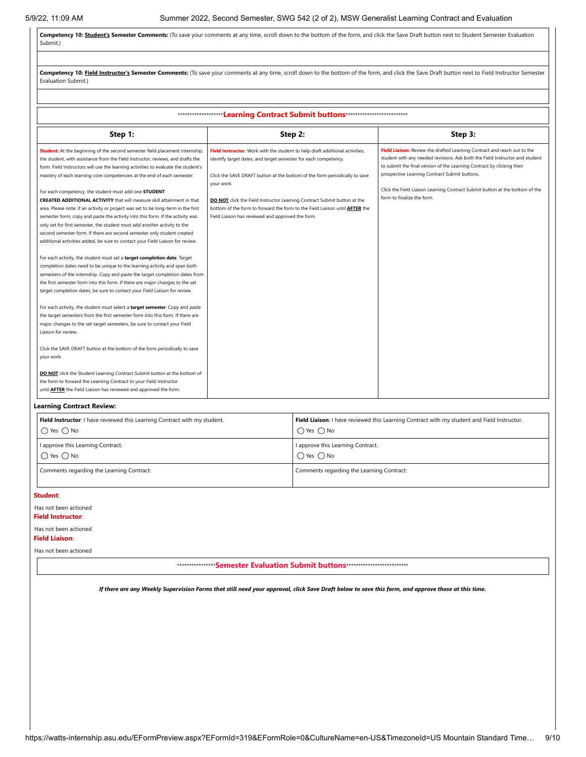Competency 10: Student's Semester Comments: (To save your comments at any time, scroll down to the bottom of the form, and click the Save Draft button next to Student Semester Evaluation Submit.)

| Competency 10: Field Instructor's Semester Comments: (To save your comments at any time, scroll down to the bottom of the form, and click the Save Draft button next to Field Instructor Semester<br>Evaluation Submit.)                                                                                                                                                                                                                                                                                                                                                                                                                                                                                                                                                                                                                                                                                                                                                                                                                                                                                                                                                                                                                                                                                                                                                                                                                                                                                                                                                                                                                                                                                                                                                                                                                                                                            |                                                                                                                                                                                                                                                                                                                                                                                                                                                                    |                                                                                                                                                                                                                                                                                                                                                                                                   |  |  |  |  |  |  |
|-----------------------------------------------------------------------------------------------------------------------------------------------------------------------------------------------------------------------------------------------------------------------------------------------------------------------------------------------------------------------------------------------------------------------------------------------------------------------------------------------------------------------------------------------------------------------------------------------------------------------------------------------------------------------------------------------------------------------------------------------------------------------------------------------------------------------------------------------------------------------------------------------------------------------------------------------------------------------------------------------------------------------------------------------------------------------------------------------------------------------------------------------------------------------------------------------------------------------------------------------------------------------------------------------------------------------------------------------------------------------------------------------------------------------------------------------------------------------------------------------------------------------------------------------------------------------------------------------------------------------------------------------------------------------------------------------------------------------------------------------------------------------------------------------------------------------------------------------------------------------------------------------------|--------------------------------------------------------------------------------------------------------------------------------------------------------------------------------------------------------------------------------------------------------------------------------------------------------------------------------------------------------------------------------------------------------------------------------------------------------------------|---------------------------------------------------------------------------------------------------------------------------------------------------------------------------------------------------------------------------------------------------------------------------------------------------------------------------------------------------------------------------------------------------|--|--|--|--|--|--|
|                                                                                                                                                                                                                                                                                                                                                                                                                                                                                                                                                                                                                                                                                                                                                                                                                                                                                                                                                                                                                                                                                                                                                                                                                                                                                                                                                                                                                                                                                                                                                                                                                                                                                                                                                                                                                                                                                                     |                                                                                                                                                                                                                                                                                                                                                                                                                                                                    |                                                                                                                                                                                                                                                                                                                                                                                                   |  |  |  |  |  |  |
| *********************Learning Contract Submit buttons***************************                                                                                                                                                                                                                                                                                                                                                                                                                                                                                                                                                                                                                                                                                                                                                                                                                                                                                                                                                                                                                                                                                                                                                                                                                                                                                                                                                                                                                                                                                                                                                                                                                                                                                                                                                                                                                    |                                                                                                                                                                                                                                                                                                                                                                                                                                                                    |                                                                                                                                                                                                                                                                                                                                                                                                   |  |  |  |  |  |  |
| Step 1:                                                                                                                                                                                                                                                                                                                                                                                                                                                                                                                                                                                                                                                                                                                                                                                                                                                                                                                                                                                                                                                                                                                                                                                                                                                                                                                                                                                                                                                                                                                                                                                                                                                                                                                                                                                                                                                                                             | Step 2:                                                                                                                                                                                                                                                                                                                                                                                                                                                            | Step 3:                                                                                                                                                                                                                                                                                                                                                                                           |  |  |  |  |  |  |
| Student: At the beginning of the second semester field placement internship,<br>the student, with assistance from the Field Instructor, reviews, and drafts the<br>form. Field Instructors will use the learning activities to evaluate the student's<br>mastery of each learning core competencies at the end of each semester.<br>For each competency, the student must add one STUDENT<br><b>CREATED ADDITIONAL ACTIVITY</b> that will measure skill attainment in that<br>area. Please note: if an activity or project was set to be long-term in the first<br>semester form, copy and paste the activity into this form. If the activity was<br>only set for first semester, the student must add another activity to the<br>second semester form. If there are second semester only student created<br>additional activities added, be sure to contact your Field Liaison for review.<br>For each activity, the student must set a target completion date. Target<br>completion dates need to be unique to the learning activity and span both<br>semesters of the internship. Copy and paste the target completion dates from<br>the first semester form into this form. If there are major changes to the set<br>target completion dates, be sure to contact your Field Liaison for review.<br>For each activity, the student must select a target semester. Copy and paste<br>the target semesters from the first semester form into this form. If there are<br>major changes to the set target semesters, be sure to contact your Field<br>Liaison for review.<br>Click the SAVE DRAFT button at the bottom of the form periodically to save<br>your work.<br>DO NOT click the Student Learning Contract Submit button at the bottom of<br>the form to forward the Learning Contract to your Field Instructor<br>until <b>AFTER</b> the Field Liaison has reviewed and approved the form. | Field Instructor: Work with the student to help draft additional activities,<br>identify target dates, and target semester for each competency.<br>Click the SAVE DRAFT button at the bottom of the form periodically to save<br>your work.<br>DO NOT click the Field Instructor Learning Contract Submit button at the<br>bottom of the form to forward the form to the Field Liaison until <b>AFTER</b> the<br>Field Liaison has reviewed and approved the form. | Field Liaison: Review the drafted Learning Contract and reach out to the<br>student with any needed revisions. Ask both the Field Instructor and student<br>to submit the final version of the Learning Contract by clicking their<br>prospective Learning Contract Submit buttons.<br>Click the Field Liaison Learning Contract Submit button at the bottom of the<br>form to finalize the form. |  |  |  |  |  |  |

## **Learning Contract Review:**

| Field Instructor: I have reviewed this Learning Contract with my student. | Field Liaison: I have reviewed this Learning Contract with my student and Field Instructor. |
|---------------------------------------------------------------------------|---------------------------------------------------------------------------------------------|
| $\bigcap$ Yes $\bigcap$ No                                                | $\bigcap$ Yes $\bigcap$ No                                                                  |
| I approve this Learning Contract.                                         | I approve this Learning Contract.                                                           |
| $\bigcap$ Yes $\bigcap$ No                                                | $\bigcap$ Yes $\bigcap$ No                                                                  |
| Comments regarding the Learning Contract:                                 | Comments regarding the Learning Contract:                                                   |

**Student**:

## Has not been actioned

**Field Instructor**:

Has not been actioned

## **Field Liaison**:

Has not been actioned

\*\*\*\*\*\*\*\*\*\*\*\*\*\*\*\***Semester Evaluation Submit buttons**\*\*\*\*\*\*\*\*\*\*\*\*\*\*\*\*\*\*\*\*\*\*\*\*\*\*

*If there are any Weekly Supervision Forms that still need your approval, click Save Draft below to save this form, and approve those at this time.*